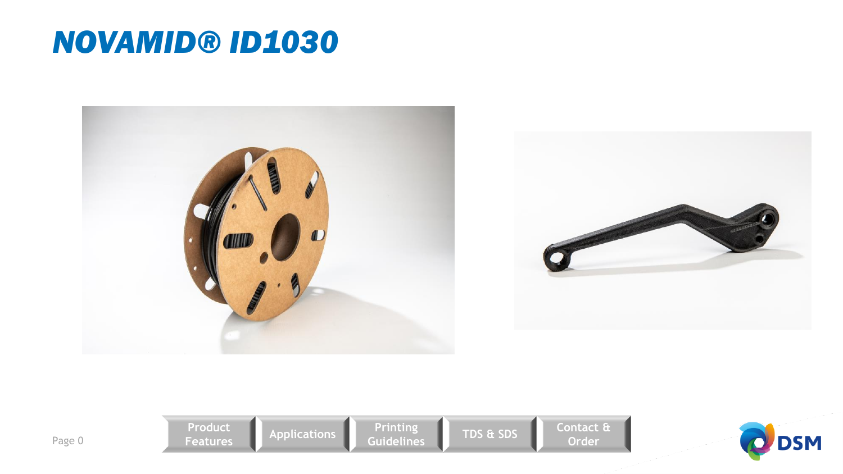## *NOVAMID® ID1030*



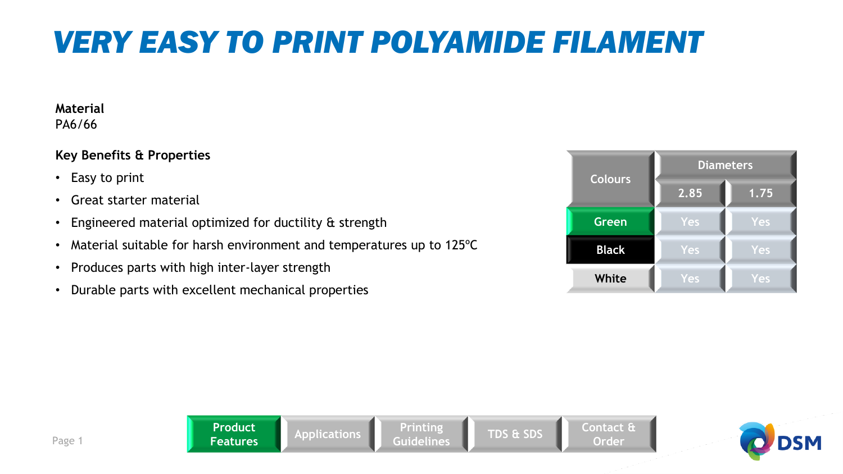## *VERY EASY TO PRINT POLYAMIDE FILAMENT*

#### **Material**  PA6/66

### **Key Benefits & Properties**

- Easy to print
- Great starter material
- Engineered material optimized for ductility & strength
- Material suitable for harsh environment and temperatures up to 125ºC
- Produces parts with high inter-layer strength
- Durable parts with excellent mechanical properties



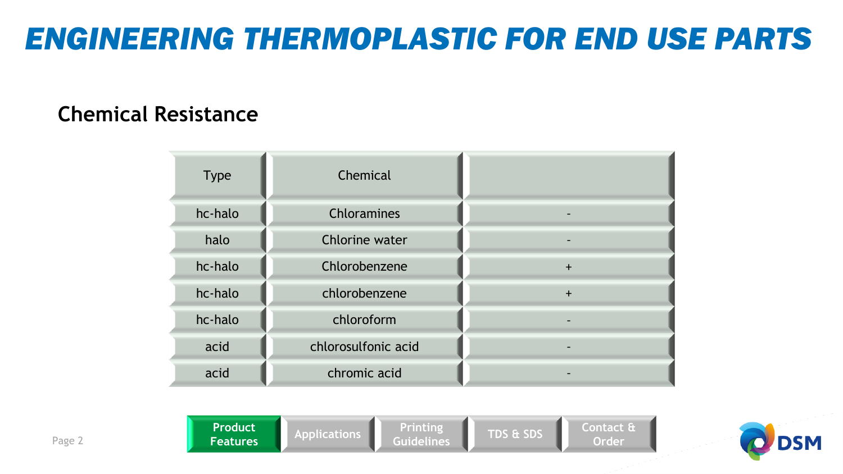## *ENGINEERING THERMOPLASTIC FOR END USE PARTS*

### **Chemical Resistance**

| <b>Type</b> | Chemical            |           |
|-------------|---------------------|-----------|
| hc-halo     | Chloramines         |           |
| halo        | Chlorine water      |           |
| hc-halo     | Chlorobenzene       | $\ddot{}$ |
| hc-halo     | chlorobenzene       | $\ddot{}$ |
| hc-halo     | chloroform          |           |
| acid        | chlorosulfonic acid |           |
| acid        | chromic acid        |           |



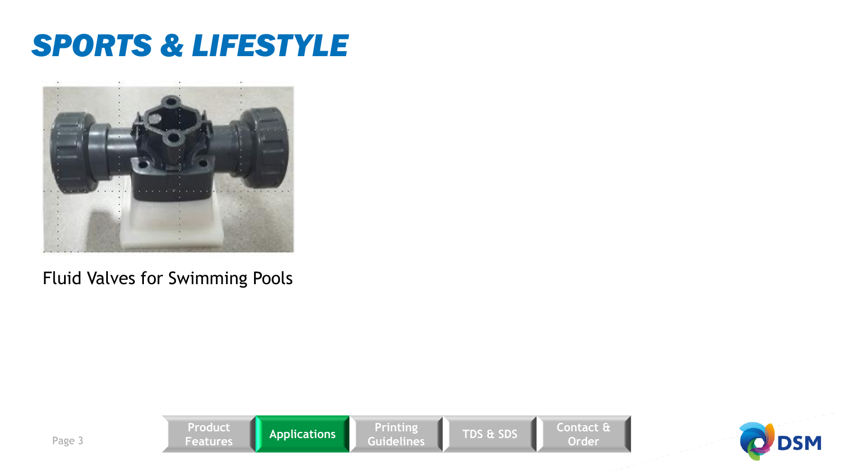# *SPORTS & LIFESTYLE*



### Fluid Valves for Swimming Pools



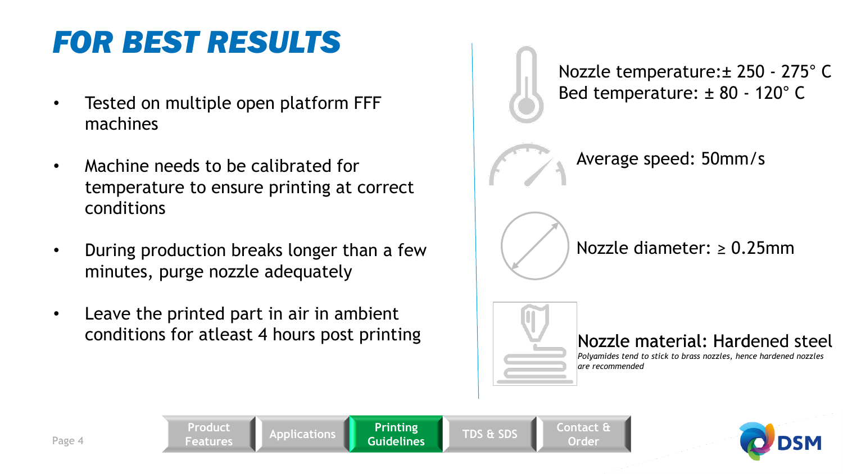# *FOR BEST RESULTS*

- Tested on multiple open platform FFF machines
- Machine needs to be calibrated for temperature to ensure printing at correct conditions
- During production breaks longer than a few minutes, purge nozzle adequately
- Leave the printed part in air in ambient conditions for atleast 4 hours post printing

**Features Applications Printing** 

**Product** 

Nozzle temperature:± 250 - 275° C Bed temperature: ± 80 - 120° C



Nozzle diameter: ≥ 0.25mm



**Guidelines TDS & SDS Contact &** 

**Order**

### Nozzle material: Hardened steel

*Polyamides tend to stick to brass nozzles, hence hardened nozzles are recommended* 

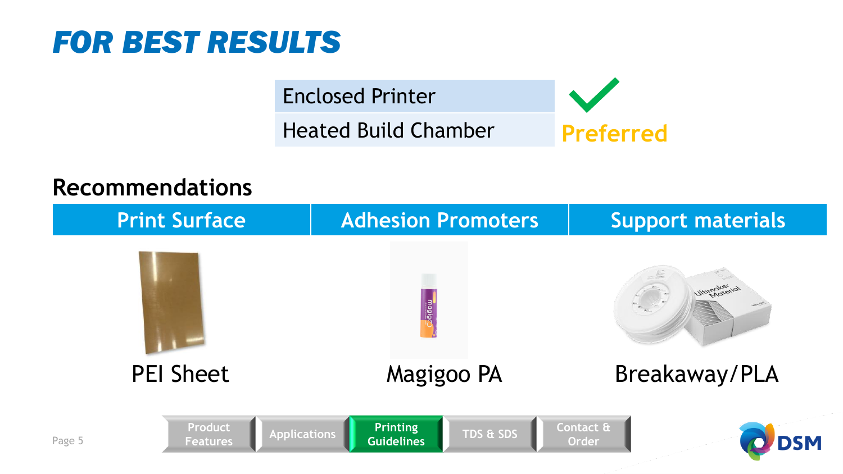

Enclosed Printer Heated Build Chamber **Preferred**

### **Recommendations**

| <b>Print Surface</b> |                                                   |                                      | <b>Adhesion Promoters</b> |                    | <b>Support materials</b> |  |
|----------------------|---------------------------------------------------|--------------------------------------|---------------------------|--------------------|--------------------------|--|
|                      |                                                   | magiga                               |                           |                    | <b>Iltimaker</b>         |  |
|                      | <b>PEI Sheet</b>                                  |                                      | Magigoo PA                |                    | Breakaway/PLA            |  |
| Page 5               | Product<br><b>Applications</b><br><b>Features</b> | <b>Printing</b><br><b>Guidelines</b> | <b>TDS &amp; SDS</b>      | Contact &<br>Order |                          |  |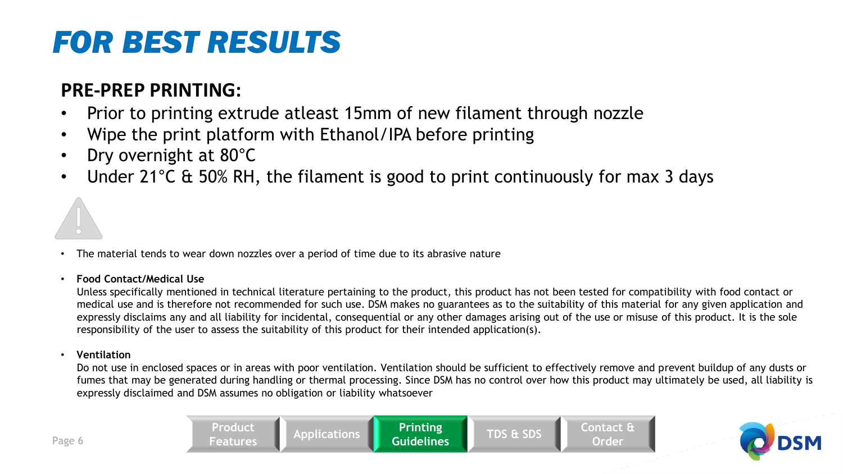# *FOR BEST RESULTS*

### **PRE-PREP PRINTING:**

- Prior to printing extrude atleast 15mm of new filament through nozzle
- Wipe the print platform with Ethanol/IPA before printing
- Dry overnight at 80°C
- Under 21<sup>o</sup>C & 50% RH, the filament is good to print continuously for max 3 days



• The material tends to wear down nozzles over a period of time due to its abrasive nature

#### • **Food Contact/Medical Use**

Unless specifically mentioned in technical literature pertaining to the product, this product has not been tested for compatibility with food contact or medical use and is therefore not recommended for such use. DSM makes no guarantees as to the suitability of this material for any given application and expressly disclaims any and all liability for incidental, consequential or any other damages arising out of the use or misuse of this product. It is the sole responsibility of the user to assess the suitability of this product for their intended application(s).

#### • **Ventilation**

Do not use in enclosed spaces or in areas with poor ventilation. Ventilation should be sufficient to effectively remove and prevent buildup of any dusts or fumes that may be generated during handling or thermal processing. Since DSM has no control over how this product may ultimately be used, all liability is expressly disclaimed and DSM assumes no obligation or liability whatsoever

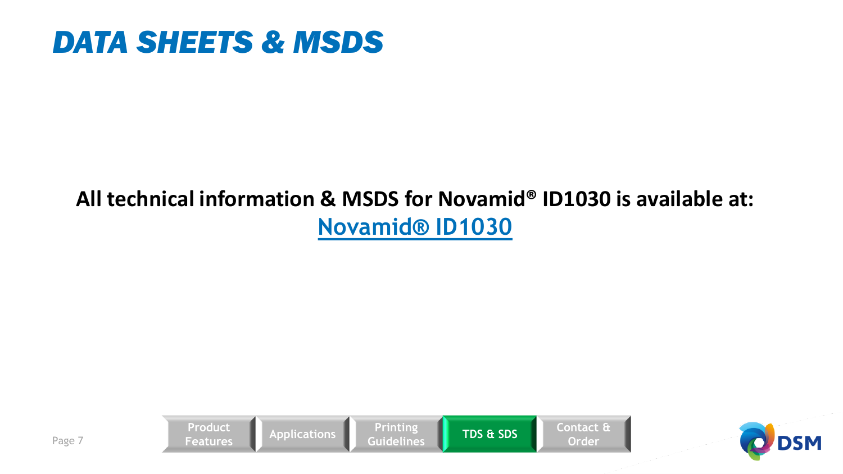## *DATA SHEETS & MSDS*

### **All technical information & MSDS for Novamid® ID1030 is available at: [Novamid® ID1030](https://plasticsfinder.com/en/datasheet/Novamid%C2%AE%20ID%201030/oX2rq)**